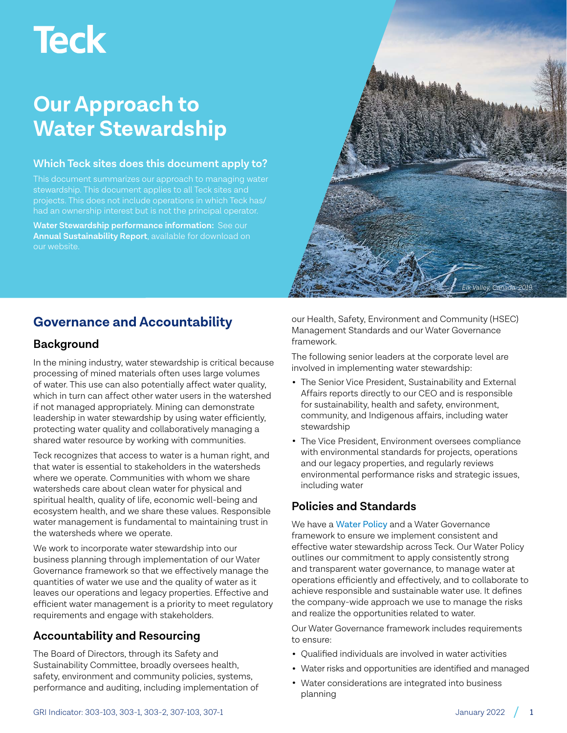# **Teck**

# **Our Approach to Water Stewardship**

#### **Which Teck sites does this document apply to?**

stewardship. This document applies to all Teck sites and projects. This does not include operations in which Teck has/ had an ownership interest but is not the principal operator.

**Water Stewardship performance information:** See our **[Annual Sustainability Report](https://www.teck.com/responsibility/approach-to-responsibility/sustainability-report/)**, available for download on our website.



# **Governance and Accountability**

### **Background**

In the mining industry, water stewardship is critical because processing of mined materials often uses large volumes of water. This use can also potentially affect water quality, which in turn can affect other water users in the watershed if not managed appropriately. Mining can demonstrate leadership in water stewardship by using water efficiently, protecting water quality and collaboratively managing a shared water resource by working with communities.

Teck recognizes that access to water is a human right, and that water is essential to stakeholders in the watersheds where we operate. Communities with whom we share watersheds care about clean water for physical and spiritual health, quality of life, economic well-being and ecosystem health, and we share these values. Responsible water management is fundamental to maintaining trust in the watersheds where we operate.

We work to incorporate water stewardship into our business planning through implementation of our Water Governance framework so that we effectively manage the quantities of water we use and the quality of water as it leaves our operations and legacy properties. Effective and efficient water management is a priority to meet regulatory requirements and engage with stakeholders.

# **Accountability and Resourcing**

The Board of Directors, through its Safety and Sustainability Committee, broadly oversees health, safety, environment and community policies, systems, performance and auditing, including implementation of our Health, Safety, Environment and Community (HSEC) Management Standards and our Water Governance framework.

The following senior leaders at the corporate level are involved in implementing water stewardship:

- The Senior Vice President, Sustainability and External Affairs reports directly to our CEO and is responsible for sustainability, health and safety, environment, community, and Indigenous affairs, including water stewardship
- The Vice President, Environment oversees compliance with environmental standards for projects, operations and our legacy properties, and regularly reviews environmental performance risks and strategic issues, including water

### **Policies and Standards**

We have a [Water Policy](https://www.teck.com/responsibility/approach-to-responsibility/our-commitments/policies/water-policy/) and a Water Governance framework to ensure we implement consistent and effective water stewardship across Teck. Our Water Policy outlines our commitment to apply consistently strong and transparent water governance, to manage water at operations efficiently and effectively, and to collaborate to achieve responsible and sustainable water use. It defines the company-wide approach we use to manage the risks and realize the opportunities related to water.

Our Water Governance framework includes requirements to ensure:

- Qualified individuals are involved in water activities
- Water risks and opportunities are identified and managed
- Water considerations are integrated into business planning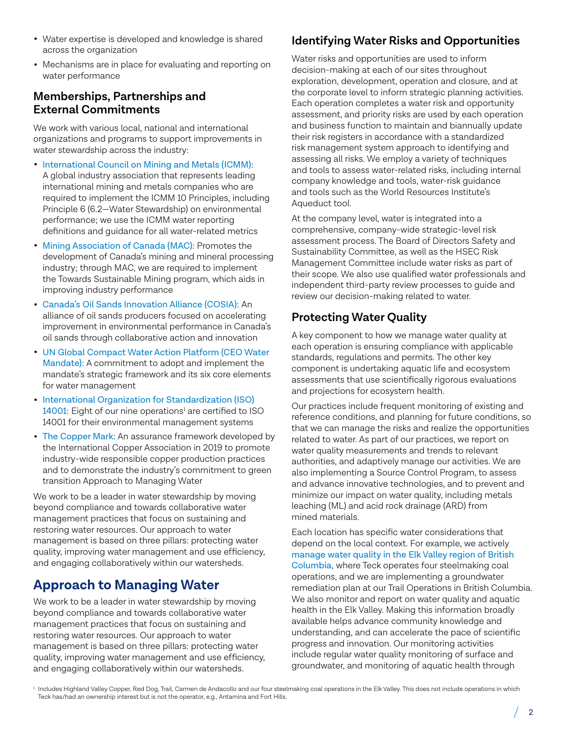- Water expertise is developed and knowledge is shared across the organization
- Mechanisms are in place for evaluating and reporting on water performance

#### **Memberships, Partnerships and External Commitments**

We work with various local, national and international organizations and programs to support improvements in water stewardship across the industry:

- I[nternational Council on Mining and Metals \(ICMM\):](https://www.icmm.com/en-gb)  A global industry association that represents leading international mining and metals companies who are required to implement the ICMM 10 Principles, including Principle 6 (6.2—Water Stewardship) on environmental performance; we use the ICMM water reporting definitions and guidance for all water-related metrics
- [Mining Association of Canada \(MAC\):](http://mining.ca/) Promotes the development of Canada's mining and mineral processing industry; through MAC, we are required to implement the Towards Sustainable Mining program, which aids in improving industry performance
- [Canada's Oil Sands Innovation Alliance \(COSIA\):](http://www.cosia.ca/) An alliance of oil sands producers focused on accelerating improvement in environmental performance in Canada's oil sands through collaborative action and innovation
- [UN Global Compact Water Action Platform \(CEO Water](https://ceowatermandate.org/)  [Mandate\):](https://ceowatermandate.org/) A commitment to adopt and implement the mandate's strategic framework and its six core elements for water management
- [International Organization for Standardization \(ISO\)](https://www.iso.org/iso-14001-environmental-management.html)   $14001$ : Eight of our nine operations $^1$  are certified to ISO 14001 for their environmental management systems
- [The Copper Mark:](https://coppermark.org/) An assurance framework developed by the International Copper Association in 2019 to promote industry-wide responsible copper production practices and to demonstrate the industry's commitment to green transition Approach to Managing Water

We work to be a leader in water stewardship by moving beyond compliance and towards collaborative water management practices that focus on sustaining and restoring water resources. Our approach to water management is based on three pillars: protecting water quality, improving water management and use efficiency, and engaging collaboratively within our watersheds.

# **Approach to Managing Water**

We work to be a leader in water stewardship by moving beyond compliance and towards collaborative water management practices that focus on sustaining and restoring water resources. Our approach to water management is based on three pillars: protecting water quality, improving water management and use efficiency, and engaging collaboratively within our watersheds.

# **Identifying Water Risks and Opportunities**

Water risks and opportunities are used to inform decision-making at each of our sites throughout exploration, development, operation and closure, and at the corporate level to inform strategic planning activities. Each operation completes a water risk and opportunity assessment, and priority risks are used by each operation and business function to maintain and biannually update their risk registers in accordance with a standardized risk management system approach to identifying and assessing all risks. We employ a variety of techniques and tools to assess water-related risks, including internal company knowledge and tools, water-risk guidance and tools such as the World Resources Institute's Aqueduct tool.

At the company level, water is integrated into a comprehensive, company-wide strategic-level risk assessment process. The Board of Directors Safety and Sustainability Committee, as well as the HSEC Risk Management Committee include water risks as part of their scope. We also use qualified water professionals and independent third-party review processes to guide and review our decision-making related to water.

## **Protecting Water Quality**

A key component to how we manage water quality at each operation is ensuring compliance with applicable standards, regulations and permits. The other key component is undertaking aquatic life and ecosystem assessments that use scientifically rigorous evaluations and projections for ecosystem health.

Our practices include frequent monitoring of existing and reference conditions, and planning for future conditions, so that we can manage the risks and realize the opportunities related to water. As part of our practices, we report on water quality measurements and trends to relevant authorities, and adaptively manage our activities. We are also implementing a Source Control Program, to assess and advance innovative technologies, and to prevent and minimize our impact on water quality, including metals leaching (ML) and acid rock drainage (ARD) from mined materials.

Each location has specific water considerations that depend on the local context. For example, we actively [manage water quality in the Elk Valley region of British](https://www.teck.com/responsibility/sustainability-topics/water/water-quality-in-the-elk-valley/)  [Columbia,](https://www.teck.com/responsibility/sustainability-topics/water/water-quality-in-the-elk-valley/) where Teck operates four steelmaking coal operations, and we are implementing a groundwater remediation plan at our Trail Operations in British Columbia. We also monitor and report on water quality and aquatic health in the Elk Valley. Making this information broadly available helps advance community knowledge and understanding, and can accelerate the pace of scientific progress and innovation. Our monitoring activities include regular water quality monitoring of surface and groundwater, and monitoring of aquatic health through

<sup>&</sup>lt;sup>1</sup> Includes Highland Valley Copper, Red Dog, Trail, Carmen de Andacollo and our four steelmaking coal operations in the Elk Valley. This does not include operations in which Teck has/had an ownership interest but is not the operator, e.g., Antamina and Fort Hills.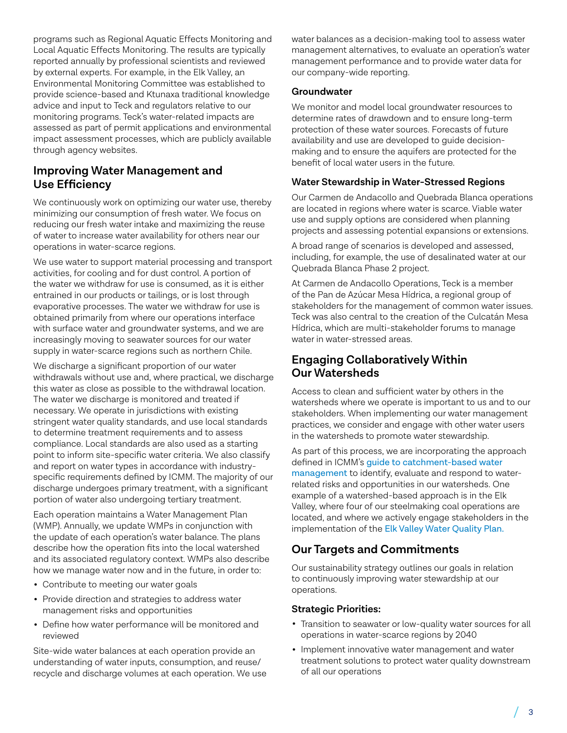programs such as Regional Aquatic Effects Monitoring and Local Aquatic Effects Monitoring. The results are typically reported annually by professional scientists and reviewed by external experts. For example, in the Elk Valley, an Environmental Monitoring Committee was established to provide science-based and Ktunaxa traditional knowledge advice and input to Teck and regulators relative to our monitoring programs. Teck's water-related impacts are assessed as part of permit applications and environmental impact assessment processes, which are publicly available through agency websites.

#### **Improving Water Management and Use Efficiency**

We continuously work on optimizing our water use, thereby minimizing our consumption of fresh water. We focus on reducing our fresh water intake and maximizing the reuse of water to increase water availability for others near our operations in water-scarce regions.

We use water to support material processing and transport activities, for cooling and for dust control. A portion of the water we withdraw for use is consumed, as it is either entrained in our products or tailings, or is lost through evaporative processes. The water we withdraw for use is obtained primarily from where our operations interface with surface water and groundwater systems, and we are increasingly moving to seawater sources for our water supply in water-scarce regions such as northern Chile.

We discharge a significant proportion of our water withdrawals without use and, where practical, we discharge this water as close as possible to the withdrawal location. The water we discharge is monitored and treated if necessary. We operate in jurisdictions with existing stringent water quality standards, and use local standards to determine treatment requirements and to assess compliance. Local standards are also used as a starting point to inform site-specific water criteria. We also classify and report on water types in accordance with industryspecific requirements defined by ICMM. The majority of our discharge undergoes primary treatment, with a significant portion of water also undergoing tertiary treatment.

Each operation maintains a Water Management Plan (WMP). Annually, we update WMPs in conjunction with the update of each operation's water balance. The plans describe how the operation fits into the local watershed and its associated regulatory context. WMPs also describe how we manage water now and in the future, in order to:

- Contribute to meeting our water goals
- Provide direction and strategies to address water management risks and opportunities
- Define how water performance will be monitored and reviewed

Site-wide water balances at each operation provide an understanding of water inputs, consumption, and reuse/ recycle and discharge volumes at each operation. We use water balances as a decision-making tool to assess water management alternatives, to evaluate an operation's water management performance and to provide water data for our company-wide reporting.

#### **Groundwater**

We monitor and model local groundwater resources to determine rates of drawdown and to ensure long-term protection of these water sources. Forecasts of future availability and use are developed to guide decisionmaking and to ensure the aquifers are protected for the benefit of local water users in the future.

#### **Water Stewardship in Water-Stressed Regions**

Our Carmen de Andacollo and Quebrada Blanca operations are located in regions where water is scarce. Viable water use and supply options are considered when planning projects and assessing potential expansions or extensions.

A broad range of scenarios is developed and assessed, including, for example, the use of desalinated water at our Quebrada Blanca Phase 2 project.

At Carmen de Andacollo Operations, Teck is a member of the Pan de Azúcar Mesa Hídrica, a regional group of stakeholders for the management of common water issues. Teck was also central to the creation of the Culcatán Mesa Hídrica, which are multi-stakeholder forums to manage water in water-stressed areas.

#### **Engaging Collaboratively Within Our Watersheds**

Access to clean and sufficient water by others in the watersheds where we operate is important to us and to our stakeholders. When implementing our water management practices, we consider and engage with other water users in the watersheds to promote water stewardship.

As part of this process, we are incorporating the approach defined in ICMM's [guide to catchment-based water](https://www.icmm.com/en-gb/guidance/environmental-stewardship/catchment-based-water-management)  [management](https://www.icmm.com/en-gb/guidance/environmental-stewardship/catchment-based-water-management) to identify, evaluate and respond to waterrelated risks and opportunities in our watersheds. One example of a watershed-based approach is in the Elk Valley, where four of our steelmaking coal operations are located, and where we actively engage stakeholders in the implementation of the [Elk Valley Water Quality Plan.](https://www.teck.com/responsibility/sustainability-topics/water/water-quality-in-the-elk-valley/)

#### **Our Targets and Commitments**

Our sustainability strategy outlines our goals in relation to continuously improving water stewardship at our operations.

#### **Strategic Priorities:**

- Transition to seawater or low-quality water sources for all operations in water-scarce regions by 2040
- Implement innovative water management and water treatment solutions to protect water quality downstream of all our operations